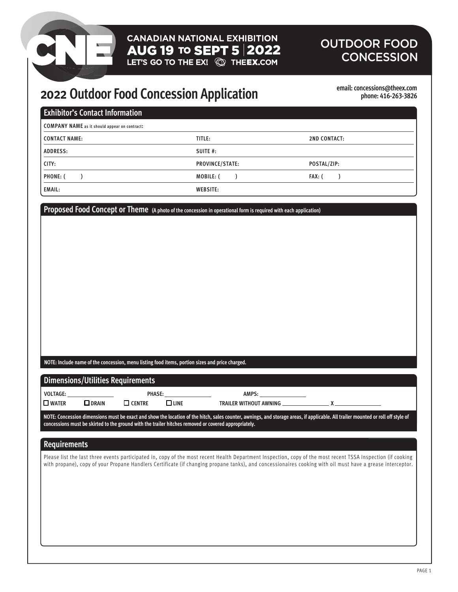# **CANADIAN NATIONAL EXHIBITION** AUG 19 TO SEPT  $5|2022$ <br>LET'S GO TO THE EX!  $\circled{2}$  THEEX.COM

## OUTDOOR FOOD **CONCESSION**

# **2022 Outdoor Food Concession Application**

**email: concessions@theex.com phone: 416-263-3826**

| <b>COMPANY NAME</b> as it should appear on contract:<br><b>CONTACT NAME:</b><br>TITLE:<br><b>2ND CONTACT:</b><br><b>ADDRESS:</b><br>SUITE #:<br>CITY:<br>PROVINCE/STATE:<br>POSTAL/ZIP:<br>PHONE: (<br>$\mathcal{L}$<br>MOBILE: (<br>FAX: (<br>$\mathcal{L}$<br>$\mathcal{L}$<br><b>EMAIL:</b><br><b>WEBSITE:</b><br>Proposed Food Concept or Theme (A photo of the concession in operational form is required with each application)<br>NOTE: Include name of the concession, menu listing food items, portion sizes and price charged.<br><b>Dimensions/Utilities Requirements</b><br>VOLTAGE:<br>PHASE:<br>AMPS:<br>$\square$ CENTRE<br>$\Box$ LINE<br>$\square$ water<br>$\Box$ DRAIN<br>TRAILER WITHOUT AWNING ___________<br>X<br>NOTE: Concession dimensions must be exact and show the location of the hitch, sales counter, awnings, and storage areas, if applicable. All trailer mounted or roll off style of<br>concessions must be skirted to the ground with the trailer hitches removed or covered appropriately.<br><b>Requirements</b><br>Please list the last three events participated in, copy of the most recent Health Department Inspection, copy of the most recent TSSA Inspection (if cooking<br>with propane), copy of your Propane Handlers Certificate (if changing propane tanks), and concessionaires cooking with oil must have a grease interceptor. | <b>Exhibitor's Contact Information</b> |  |  |
|---------------------------------------------------------------------------------------------------------------------------------------------------------------------------------------------------------------------------------------------------------------------------------------------------------------------------------------------------------------------------------------------------------------------------------------------------------------------------------------------------------------------------------------------------------------------------------------------------------------------------------------------------------------------------------------------------------------------------------------------------------------------------------------------------------------------------------------------------------------------------------------------------------------------------------------------------------------------------------------------------------------------------------------------------------------------------------------------------------------------------------------------------------------------------------------------------------------------------------------------------------------------------------------------------------------------------------------------------------------------------------------|----------------------------------------|--|--|
|                                                                                                                                                                                                                                                                                                                                                                                                                                                                                                                                                                                                                                                                                                                                                                                                                                                                                                                                                                                                                                                                                                                                                                                                                                                                                                                                                                                       |                                        |  |  |
|                                                                                                                                                                                                                                                                                                                                                                                                                                                                                                                                                                                                                                                                                                                                                                                                                                                                                                                                                                                                                                                                                                                                                                                                                                                                                                                                                                                       |                                        |  |  |
|                                                                                                                                                                                                                                                                                                                                                                                                                                                                                                                                                                                                                                                                                                                                                                                                                                                                                                                                                                                                                                                                                                                                                                                                                                                                                                                                                                                       |                                        |  |  |
|                                                                                                                                                                                                                                                                                                                                                                                                                                                                                                                                                                                                                                                                                                                                                                                                                                                                                                                                                                                                                                                                                                                                                                                                                                                                                                                                                                                       |                                        |  |  |
|                                                                                                                                                                                                                                                                                                                                                                                                                                                                                                                                                                                                                                                                                                                                                                                                                                                                                                                                                                                                                                                                                                                                                                                                                                                                                                                                                                                       |                                        |  |  |
|                                                                                                                                                                                                                                                                                                                                                                                                                                                                                                                                                                                                                                                                                                                                                                                                                                                                                                                                                                                                                                                                                                                                                                                                                                                                                                                                                                                       |                                        |  |  |
|                                                                                                                                                                                                                                                                                                                                                                                                                                                                                                                                                                                                                                                                                                                                                                                                                                                                                                                                                                                                                                                                                                                                                                                                                                                                                                                                                                                       |                                        |  |  |
|                                                                                                                                                                                                                                                                                                                                                                                                                                                                                                                                                                                                                                                                                                                                                                                                                                                                                                                                                                                                                                                                                                                                                                                                                                                                                                                                                                                       |                                        |  |  |
|                                                                                                                                                                                                                                                                                                                                                                                                                                                                                                                                                                                                                                                                                                                                                                                                                                                                                                                                                                                                                                                                                                                                                                                                                                                                                                                                                                                       |                                        |  |  |
|                                                                                                                                                                                                                                                                                                                                                                                                                                                                                                                                                                                                                                                                                                                                                                                                                                                                                                                                                                                                                                                                                                                                                                                                                                                                                                                                                                                       |                                        |  |  |
|                                                                                                                                                                                                                                                                                                                                                                                                                                                                                                                                                                                                                                                                                                                                                                                                                                                                                                                                                                                                                                                                                                                                                                                                                                                                                                                                                                                       |                                        |  |  |
|                                                                                                                                                                                                                                                                                                                                                                                                                                                                                                                                                                                                                                                                                                                                                                                                                                                                                                                                                                                                                                                                                                                                                                                                                                                                                                                                                                                       |                                        |  |  |
|                                                                                                                                                                                                                                                                                                                                                                                                                                                                                                                                                                                                                                                                                                                                                                                                                                                                                                                                                                                                                                                                                                                                                                                                                                                                                                                                                                                       |                                        |  |  |
|                                                                                                                                                                                                                                                                                                                                                                                                                                                                                                                                                                                                                                                                                                                                                                                                                                                                                                                                                                                                                                                                                                                                                                                                                                                                                                                                                                                       |                                        |  |  |
|                                                                                                                                                                                                                                                                                                                                                                                                                                                                                                                                                                                                                                                                                                                                                                                                                                                                                                                                                                                                                                                                                                                                                                                                                                                                                                                                                                                       |                                        |  |  |
|                                                                                                                                                                                                                                                                                                                                                                                                                                                                                                                                                                                                                                                                                                                                                                                                                                                                                                                                                                                                                                                                                                                                                                                                                                                                                                                                                                                       |                                        |  |  |
|                                                                                                                                                                                                                                                                                                                                                                                                                                                                                                                                                                                                                                                                                                                                                                                                                                                                                                                                                                                                                                                                                                                                                                                                                                                                                                                                                                                       |                                        |  |  |
|                                                                                                                                                                                                                                                                                                                                                                                                                                                                                                                                                                                                                                                                                                                                                                                                                                                                                                                                                                                                                                                                                                                                                                                                                                                                                                                                                                                       |                                        |  |  |
|                                                                                                                                                                                                                                                                                                                                                                                                                                                                                                                                                                                                                                                                                                                                                                                                                                                                                                                                                                                                                                                                                                                                                                                                                                                                                                                                                                                       |                                        |  |  |
|                                                                                                                                                                                                                                                                                                                                                                                                                                                                                                                                                                                                                                                                                                                                                                                                                                                                                                                                                                                                                                                                                                                                                                                                                                                                                                                                                                                       |                                        |  |  |
|                                                                                                                                                                                                                                                                                                                                                                                                                                                                                                                                                                                                                                                                                                                                                                                                                                                                                                                                                                                                                                                                                                                                                                                                                                                                                                                                                                                       |                                        |  |  |
|                                                                                                                                                                                                                                                                                                                                                                                                                                                                                                                                                                                                                                                                                                                                                                                                                                                                                                                                                                                                                                                                                                                                                                                                                                                                                                                                                                                       |                                        |  |  |
|                                                                                                                                                                                                                                                                                                                                                                                                                                                                                                                                                                                                                                                                                                                                                                                                                                                                                                                                                                                                                                                                                                                                                                                                                                                                                                                                                                                       |                                        |  |  |
|                                                                                                                                                                                                                                                                                                                                                                                                                                                                                                                                                                                                                                                                                                                                                                                                                                                                                                                                                                                                                                                                                                                                                                                                                                                                                                                                                                                       |                                        |  |  |
|                                                                                                                                                                                                                                                                                                                                                                                                                                                                                                                                                                                                                                                                                                                                                                                                                                                                                                                                                                                                                                                                                                                                                                                                                                                                                                                                                                                       |                                        |  |  |
|                                                                                                                                                                                                                                                                                                                                                                                                                                                                                                                                                                                                                                                                                                                                                                                                                                                                                                                                                                                                                                                                                                                                                                                                                                                                                                                                                                                       |                                        |  |  |
|                                                                                                                                                                                                                                                                                                                                                                                                                                                                                                                                                                                                                                                                                                                                                                                                                                                                                                                                                                                                                                                                                                                                                                                                                                                                                                                                                                                       |                                        |  |  |
|                                                                                                                                                                                                                                                                                                                                                                                                                                                                                                                                                                                                                                                                                                                                                                                                                                                                                                                                                                                                                                                                                                                                                                                                                                                                                                                                                                                       |                                        |  |  |
|                                                                                                                                                                                                                                                                                                                                                                                                                                                                                                                                                                                                                                                                                                                                                                                                                                                                                                                                                                                                                                                                                                                                                                                                                                                                                                                                                                                       |                                        |  |  |
|                                                                                                                                                                                                                                                                                                                                                                                                                                                                                                                                                                                                                                                                                                                                                                                                                                                                                                                                                                                                                                                                                                                                                                                                                                                                                                                                                                                       |                                        |  |  |
|                                                                                                                                                                                                                                                                                                                                                                                                                                                                                                                                                                                                                                                                                                                                                                                                                                                                                                                                                                                                                                                                                                                                                                                                                                                                                                                                                                                       |                                        |  |  |
|                                                                                                                                                                                                                                                                                                                                                                                                                                                                                                                                                                                                                                                                                                                                                                                                                                                                                                                                                                                                                                                                                                                                                                                                                                                                                                                                                                                       |                                        |  |  |
|                                                                                                                                                                                                                                                                                                                                                                                                                                                                                                                                                                                                                                                                                                                                                                                                                                                                                                                                                                                                                                                                                                                                                                                                                                                                                                                                                                                       |                                        |  |  |
|                                                                                                                                                                                                                                                                                                                                                                                                                                                                                                                                                                                                                                                                                                                                                                                                                                                                                                                                                                                                                                                                                                                                                                                                                                                                                                                                                                                       |                                        |  |  |
|                                                                                                                                                                                                                                                                                                                                                                                                                                                                                                                                                                                                                                                                                                                                                                                                                                                                                                                                                                                                                                                                                                                                                                                                                                                                                                                                                                                       |                                        |  |  |
|                                                                                                                                                                                                                                                                                                                                                                                                                                                                                                                                                                                                                                                                                                                                                                                                                                                                                                                                                                                                                                                                                                                                                                                                                                                                                                                                                                                       |                                        |  |  |
|                                                                                                                                                                                                                                                                                                                                                                                                                                                                                                                                                                                                                                                                                                                                                                                                                                                                                                                                                                                                                                                                                                                                                                                                                                                                                                                                                                                       |                                        |  |  |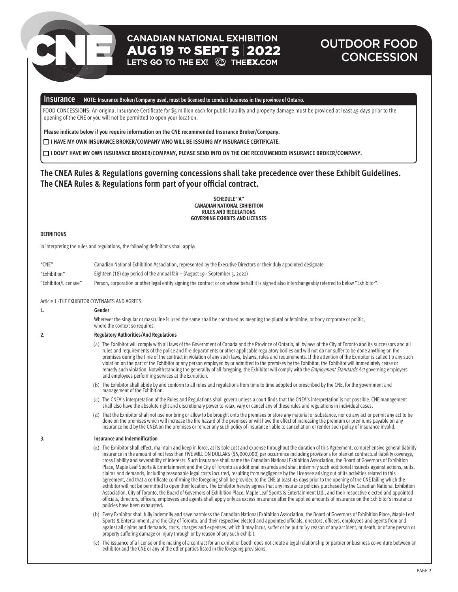# **CANADIAN NATIONAL EXHIBITION**  $\overline{AUG}$  19 to SEPT 5 2022<br>LET'S GO TO THE EX!  $\textcircled{S}$  The EX.COM

## OUTDOOR FOOD **CONCESSION**

## **Insurance NOTE: Insurance Broker/Company used, must be licensed to conduct business in the province of Ontario.**

 FOOD CONCESSIONS: An original Insurance Certificate for \$5 million each for public liability and property damage must be provided at least 45 days prior to the opening of the CNE or you will not be permitted to open your location.

**Please indicate below if you require information on the CNE recommended Insurance Broker/Company.**

**I HAVE MY OWN INSURANCE BROKER/COMPANY WHO WILL BE ISSUING MY INSURANCE CERTIFICATE.**

**I DON'T HAVE MY OWN INSURANCE BROKER/COMPANY, PLEASE SEND INFO ON THE CNE RECOMMENDED INSURANCE BROKER/COMPANY.**

## **The CNEA Rules & Regulations governing concessions shall take precedence over these Exhibit Guidelines.**  The CNEA Rules & Regulations form part of your official contract.

**SCHEDULE "A" CANADIAN NATIONAL EXHIBITION RULES AND REGULATIONS GOVERNING EXHIBITS AND LICENSES**

## **DEFINITIONS**

In interpreting the rules and regulations, the following definitions shall apply:

| "CNE"                | Canadian National Exhibition Association, represented by the Executive Directors or their duly appointed designate                                 |
|----------------------|----------------------------------------------------------------------------------------------------------------------------------------------------|
| "Exhibition"         | Eighteen (18) day period of the annual fair $-$ (August 19 - September 5, 2022)                                                                    |
| "Exhibitor/Licensee" | Person, corporation or other legal entity signing the contract or on whose behalf it is signed also interchangeably referred to below "Exhibitor". |

## Article 1 -THE EXHIBITOR COVENANTS AND AGREES:

| 1. | Gender                                                                                                                                                                                                                                                                                                                                                                                                                                                                                                                                                                                                                                                                                                                                                                                                                                                                                                                                                                                                                                                                                                                                                                                                                                                                                                                                                                                                                                                                                                                       |
|----|------------------------------------------------------------------------------------------------------------------------------------------------------------------------------------------------------------------------------------------------------------------------------------------------------------------------------------------------------------------------------------------------------------------------------------------------------------------------------------------------------------------------------------------------------------------------------------------------------------------------------------------------------------------------------------------------------------------------------------------------------------------------------------------------------------------------------------------------------------------------------------------------------------------------------------------------------------------------------------------------------------------------------------------------------------------------------------------------------------------------------------------------------------------------------------------------------------------------------------------------------------------------------------------------------------------------------------------------------------------------------------------------------------------------------------------------------------------------------------------------------------------------------|
|    | Wherever the singular or masculine is used the same shall be construed as meaning the plural or feminine, or body corporate or politic,<br>where the context so requires.                                                                                                                                                                                                                                                                                                                                                                                                                                                                                                                                                                                                                                                                                                                                                                                                                                                                                                                                                                                                                                                                                                                                                                                                                                                                                                                                                    |
| 2. | <b>Regulatory Authorities/And Regulations</b>                                                                                                                                                                                                                                                                                                                                                                                                                                                                                                                                                                                                                                                                                                                                                                                                                                                                                                                                                                                                                                                                                                                                                                                                                                                                                                                                                                                                                                                                                |
|    | (a) The Exhibitor will comply with all laws of the Government of Canada and the Province of Ontario, all bylaws of the City of Toronto and its successors and all<br>rules and requirements of the police and fire departments or other applicable regulatory bodies and will not do nor suffer to be done anything on the<br>premises during the time of the contract in violation of any such laws, bylaws, rules and requirements. If the attention of the Exhibitor is called to any such<br>violation on the part of the Exhibitor or any person employed by or admitted to the premises by the Exhibitor, the Exhibitor will immediately cease or<br>remedy such violation. Notwithstanding the generality of all foregoing, the Exhibitor will comply with the Employment Standards Act governing employers<br>and employees performing services at the Exhibition.                                                                                                                                                                                                                                                                                                                                                                                                                                                                                                                                                                                                                                                   |
|    | (b) The Exhibitor shall abide by and conform to all rules and regulations from time to time adopted or prescribed by the CNE, for the government and<br>management of the Exhibition.                                                                                                                                                                                                                                                                                                                                                                                                                                                                                                                                                                                                                                                                                                                                                                                                                                                                                                                                                                                                                                                                                                                                                                                                                                                                                                                                        |
|    | (c) The CNEA's interpretation of the Rules and Regulations shall govern unless a court finds that the CNEA's interpretation is not possible. CNE management<br>shall also have the absolute right and discretionary power to relax, vary or cancel any of these rules and regulations in individual cases.                                                                                                                                                                                                                                                                                                                                                                                                                                                                                                                                                                                                                                                                                                                                                                                                                                                                                                                                                                                                                                                                                                                                                                                                                   |
|    | (d) That the Exhibitor shall not use nor bring or allow to be brought onto the premises or store any material or substance, nor do any act or permit any act to be<br>done on the premises which will increase the fire hazard of the premises or will have the effect of increasing the premium or premiums payable on any<br>insurance held by the CNEA on the premises or render any such policy of insurance liable to cancellation or render such policy of insurance invalid.                                                                                                                                                                                                                                                                                                                                                                                                                                                                                                                                                                                                                                                                                                                                                                                                                                                                                                                                                                                                                                          |
|    |                                                                                                                                                                                                                                                                                                                                                                                                                                                                                                                                                                                                                                                                                                                                                                                                                                                                                                                                                                                                                                                                                                                                                                                                                                                                                                                                                                                                                                                                                                                              |
| 3. | Insurance and Indemnification                                                                                                                                                                                                                                                                                                                                                                                                                                                                                                                                                                                                                                                                                                                                                                                                                                                                                                                                                                                                                                                                                                                                                                                                                                                                                                                                                                                                                                                                                                |
|    | (a) The Exhibitor shall effect, maintain and keep in force, at its sole cost and expense throughout the duration of this Agreement, comprehensive general liability<br>insurance in the amount of not less than FIVE MILLION DOLLARS (\$5,000,000) per occurrence including provisions for blanket contractual liability coverage,<br>cross liability and severability of interests. Such insurance shall name the Canadian National Exhibition Association, the Board of Governors of Exhibition<br>Place, Maple Leaf Sports & Entertainment and the City of Toronto as additional insureds and shall indemnify such additional insureds against actions, suits,<br>claims and demands, including reasonable legal costs incurred, resulting from negligence by the Licensee arising out of its activities related to this<br>agreement, and that a certificate confirming the foregoing shall be provided to the CNE at least 45 days prior to the opening of the CNE failing which the<br>exhibitor will not be permitted to open their location. The Exhibitor hereby agrees that any insurance policies purchased by the Canadian National Exhibition<br>Association, City of Toronto, the Board of Governors of Exhibition Place, Maple Leaf Sports & Entertainment Ltd., and their respective elected and appointed<br>officials, directors, officers, employees and agents shall apply only as excess insurance after the applied amounts of insurance on the Exhibitor's insurance<br>policies have been exhausted. |
|    | (b) Every Exhibitor shall fully indemnify and save harmless the Canadian National Exhibition Association, the Board of Governors of Exhibition Place, Maple Leaf<br>Sports & Entertainment, and the City of Toronto, and their respective elected and appointed officials, directors, officers, employees and agents from and<br>against all claims and demands, costs, charges and expenses, which it may incur, suffer or be put to by reason of any accident, or death, or of any person or<br>property suffering damage or injury through or by reason of any such exhibit.                                                                                                                                                                                                                                                                                                                                                                                                                                                                                                                                                                                                                                                                                                                                                                                                                                                                                                                                              |
|    | (c) The issuance of a license or the making of a contract for an exhibit or booth does not create a legal relationship or partner or business co-venture between an<br>exhibitor and the CNE or any of the other parties listed in the foregoing provisions.                                                                                                                                                                                                                                                                                                                                                                                                                                                                                                                                                                                                                                                                                                                                                                                                                                                                                                                                                                                                                                                                                                                                                                                                                                                                 |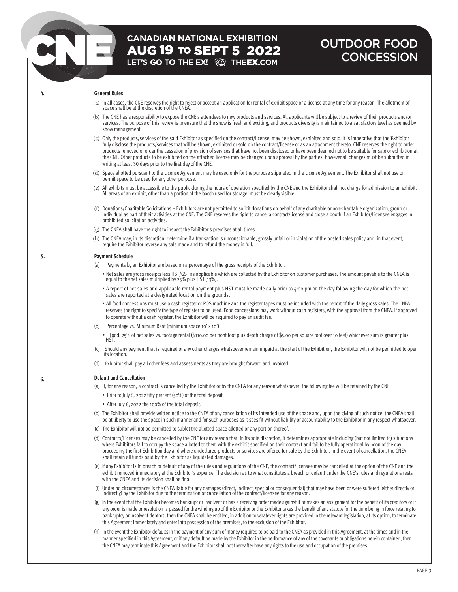## OUTDOOR FOOD **CONCESSION**

## **4. General Rules**

- (a) In all cases, the CNE reserves the right to reject or accept an application for rental of exhibit space or a license at any time for any reason. The allotment of space shall be at the discretion of the CNEA.
- (b) The CNE has a responsibility to expose the CNE's attendees to new products and services. All applicants will be subject to a review of their products and/or services. The purpose of this review is to ensure that the show is fresh and exciting, and products diversity is maintained to a satisfactory level as deemed by show management.
- (c) Only the products/services of the said Exhibitor as specified on the contract/license, may be shown, exhibited and sold. It is imperative that the Exhibitor fully disclose the products/services that will be shown, exhibited or sold on the contract/license or as an attachment thereto. CNE reserves the right to order products removed or order the cessation of provision of services that have not been disclosed or have been deemed not to be suitable for sale or exhibition at the CNE. Other products to be exhibited on the attached license may be changed upon approval by the parties, however all changes must be submitted in writing at least 30 days prior to the first day of the CNE.
- (d) Space allotted pursuant to the License Agreement may be used only for the purpose stipulated in the License Agreement. The Exhibitor shall not use or permit space to be used for any other purpose.
- (e) All exhibits must be accessible to the public during the hours of operation specified by the CNE and the Exhibitor shall not charge for admission to an exhibit. All areas of an exhibit, other than a portion of the booth used for storage, must be clearly visible.
- (f) Donations/Charitable Solicitations Exhibitors are not permitted to solicit donations on behalf of any charitable or non-charitable organization, group or individual as part of their activities at the CNE. The CNE reserves the right to cancel a contract/license and close a booth if an Exhibitor/Licensee engages in prohibited solicitation activities.
- (g) The CNEA shall have the right to inspect the Exhibitor's premises at all times
- (h) The CNEA may, in its discretion, determine if a transaction is unconscionable, grossly unfair or in violation of the posted sales policy and, in that event, require the Exhibitor reverse any sale made and to refund the money in full.

### **5. Payment Schedule**

- (a) Payments by an Exhibitor are based on a percentage of the gross receipts of the Exhibitor.
	- Net sales are gross receipts less HST/GST as applicable which are collected by the Exhibitor on customer purchases. The amount payable to the CNEA is equal to the net sales multiplied by 25% plus HST (13%).
	- A report of net sales and applicable rental payment plus HST must be made daily prior to 4:00 pm on the day following the day for which the net sales are reported at a designated location on the grounds.
	- All food concessions must use a cash register or POS machine and the register tapes must be included with the report of the daily gross sales. The CNEA reserves the right to specify the type of register to be used. Food concessions may work without cash registers, with the approval from the CNEA. If approved to operate without a cash register, the Exhibitor will be required to pay an audit fee.
- (b) Percentage vs. Minimum Rent (minimum space 10' x 10')

• Food: 25% of net sales vs. footage rental (\$110.00 per front foot plus depth charge of \$5.00 per square foot over 10 feet) whichever sum is greater plus HST.

- (c) Should any payment that is required or any othercharges whatsoever remain unpaid at the start of the Exhibition, the Exhibitor will not be permitted to open its location
- (d) Exhibitor shall pay all other fees and assessments as they are brought forward and invoiced.

## **6. Default and Cancellation**

- (a) If, for any reason, a contract is cancelled by the Exhibitor or by the CNEA for any reason whatsoever, the following fee will be retained by the CNE:
	- Prior to July 6, 2022 fifty percent (50%) of the total deposit.
	- After July 6, 2022 the 100% of the total deposit.
- (b) The Exhibitor shall provide written notice to the CNEA of any cancellation of its intended use of the space and, upon the giving of such notice, the CNEA shall be at liberty to use the space in such manner and for such purposes as it sees fit without liability or accountability to the Exhibitor in any respect whatsoever.
- (c) The Exhibitor will not be permitted to sublet the allotted space allotted or any portion thereof.
- (d) Contracts/Licenses may be cancelled by the CNE for any reason that, in its sole discretion, it determines appropriate including (but not limited to) situations where Exhibitors fail to occupy the space allotted to them with the exhibit specified on their contract and fail to be fully operational by noon of the day proceeding the first Exhibition day and where undeclared products or services are offered for sale by the Exhibitor. In the event of cancellation, the CNEA shall retain all funds paid by the Exhibitor as liquidated damages.
- (e) If any Exhibitor is in breach or default of any of the rules and regulations of the CNE, the contract/licensee may be cancelled at the option of the CNE and the exhibit removed immediately at the Exhibitor's expense. The decision as to what constitutes a breach or default under the CNE's rules and regulations rests with the CNEA and its decision shall be final.
- (f) Under no circumstances is the CNEA liable for any damages (direct, indirect, special or consequential) that may have been or were suffered (either directly or<br>indirectly) by the Exhibitor due to the termination or canc
- (g) In the event that the Exhibitor becomes bankrupt or insolvent or has a receiving order made against it or makes an assignment for the benefit of its creditors or if any order is made or resolution is passed for the winding up of the Exhibitor or the Exhibitor takes the benefit of any statute for the time being in force relating to bankruptcy or insolvent debtors, then the CNEA shall be entitled, in addition to whatever rights are provided in the relevant legislation, at its option, to terminate this Agreement immediately and enter into possession of the premises, to the exclusion of the Exhibitor.
- (h) In the event the Exhibitor defaults in the payment of any sum of moneyrequired to be paid to the CNEA as provided in this Agreement, at the times and in the manner specified in this Agreement, or if any default be made bythe Exhibitor in the performance of any of the covenants or obligations herein contained, then the CNEA mayterminate this Agreement and the Exhibitor shall not thereafter have anyrights to the use and occupation of the premises.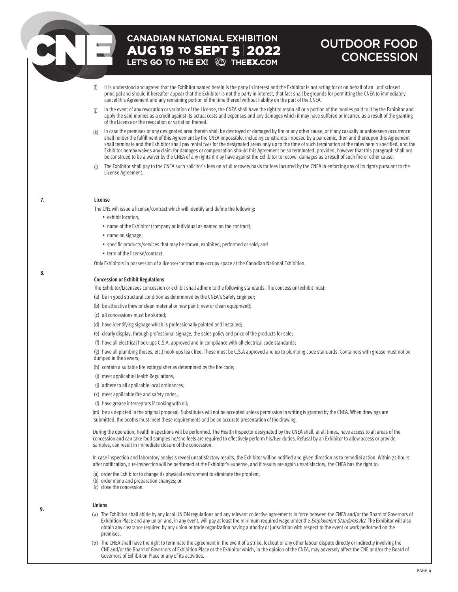# **CANADIAN NATIONAL EXHIBITION AUG 19 TO SEPT 5 2022**<br>LET'S GO TO THE EX! **QD THEEX.COM**

## OUTDOOR FOOD **CONCESSION**

- (i) It is understood and agreed that the Exhibitor named herein is the party in interest and the Exhibitor is not acting for or on behalf of an undisclosed principal and should it hereafter appear that the Exhibitor is not the party in interest, that fact shall be grounds for permitting the CNEA to immediately cancel this Agreement and any remaining portion of the time thereof without liability on the part of the CNEA.
- $(i)$ In the event of any revocation or variation of the License, the CNEA shall have the right to retain all or a portion of the monies paid to it by the Exhibitor and apply the said monies as a credit against its actual costs and expenses and any damages which it may have suffered or incurred as a result of the granting of the License or the revocation or variation thereof.
- (k) In case the premises or any designated area therein shall be destroyed or damaged by fire or any other cause, or if any casualty or unforeseen occurrence shall render the fulfillment of this Agreement by the CNEA impossible, including constraints imposed by a pandemic, then and thereupon this Agreement shall terminate and the Exhibitor shall pay rental fees for the designated areas only up to the time of such termination at the rates herein specified, and the Exhibitor hereby waives any claim for damages or compensation should this Agreement be so terminated, provided, however that this paragraph shall not be construed to be a waiver by the CNEA of any rights it may have against the Exhibitor to recover damages as a result of such fire or other cause.
- (l) The Exhibitor shall pay to the CNEA such solicitor's fees on a full recovery basis for fees incurred by the CNEA in enforcing any of its rights pursuant to the License Agreement.

## **7. License**

The CNE will issue a license/contract which will identify and define the following:

- exhibit location;
- name of the Exhibitor (company or individual as named on the contract);
- name on signage;
- specific products/services that may be shown, exhibited, performed or sold; and
- term of the license/contract.

Only Exhibitors in possession of a license/contract may occupy space at the Canadian National Exhibition.

### **Concession or Exhibit Regulations**

The Exhibitor/Licensees concession or exhibit shall adhere to the following standards. The concession/exhibit must:

(a) be in good structural condition as determined by the CNEA's Safety Engineer;

- (b) be attractive (new or clean material or new paint; new or clean equipment);
- (c) all concessions must be skirted;
- (d) have identifying signage which is professionally painted and installed;
- (e) clearly display, through professional signage, the sales policy and price of the products for sale;
- (f) have all electrical hook-ups C.S.A. approved and in compliance with all electrical code standards;

(g) have all plumbing (hoses, etc.) hook-ups leak free. These must be C.S.A approved and up to plumbing code standards. Containers with grease must not be dumped in the sewers;

(h) contain a suitable fire extinguisher as determined by the fire code;

- (i) meet applicable Health Regulations;
- (j) adhere to all applicable local ordinances;
- (k) meet applicable fire and safety codes;
- (l) have grease interceptors if cooking with oil;

(m) be as depicted in the original proposal. Substitutes will not be accepted unless permission in writing is granted by the CNEA. When drawings are submitted, the booths must meet these requirements and be an accurate presentation of the drawing.

During the operation, health inspections will be performed. The Health Inspector designated by the CNEA shall, at all times, have access to all areas of the concession and can take food samples he/she feels are required to effectively perform his/her duties. Refusal by an Exhibitor to allow access or provide samples, can result in immediate closure of the concession.

In case inspection and laboratory analysis reveal unsatisfactory results, the Exhibitor will be notified and given direction as to remedial action. Within 72 hours after notification, a re-inspection will be performed at the Exhibitor's expense, and if results are again unsatisfactory, the CNEA has the right to:

- (a) order the Exhibitor to change its physical environment to eliminate the problem;
- (b) order menu and preparation changes; or

(c) close the concession.

## **Unions**

- (a) The Exhibitor shall abide by any local UNION regulations and any relevant collective agreements in force between the CNEA and/or the Board of Governors of Exhibition Place and any union and, in any event, will pay at least the minimum required wage under the *Employment Standards Act*. The Exhibitor will also obtain any clearance required by any union or trade organization having authority or jurisdiction with respect to the event or work performed on the premises.
- (b) The CNEA shall have the right to terminate the agreement in the event of a strike, lockout or any other labour dispute directly or indirectly involving the CNE and/or the Board of Governors of Exhibition Place or the Exhibitor which, in the opinion of the CNEA, may adversely affect the CNE and/or the Board of Governors of Exhibition Place or any of its activities.

**9.**

**8.** 

PAGE 4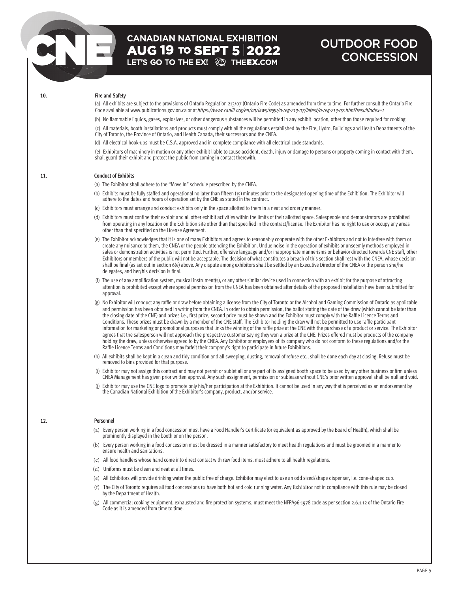# **CANADIAN NATIONAL EXHIBITION AUG 19 TO SEPT 5 2022**<br>LET'S GO TO THE EX! © THE**EX.**COM

## OUTDOOR FOOD **CONCESSION**

### **10. Fire and Safety**

(a) All exhibits are subject to the provisions of Ontario Regulation 213/07 (Ontario Fire Code) as amended from time to time. For further consult the Ontario Fire Code available at www.publications.gov.on.ca or at https://www.canlii.org/en/on/laws/regu/o-reg-213-07/latest/o-reg-213-07.html?resultIndex=1

(b) No flammable liquids, gases, explosives, or other dangerous substances will be permitted in any exhibit location, other than those required for cooking. (c) All materials, booth installations and products must comply with all the regulations established by the Fire, Hydro, Buildings and Health Departments of the City of Toronto, the Province of Ontario, and Health Canada, their successors and the CNEA.

(d) All electrical hook-ups must be C.S.A. approved and in complete compliance with all electrical code standards.

(e) Exhibitors of machinery in motion or any other exhibit liable to cause accident, death, injury or damage to persons or property coming in contact with them, shall guard their exhibit and protect the public from coming in contact therewith.

## **11. Conduct of Exhibits**

- (a) The Exhibitor shall adhere to the "Move In" schedule prescribed by the CNEA.
- (b) Exhibits must be fully staffed and operational no later than fifteen (15) minutes prior to the designated opening time of the Exhibition. The Exhibitor will adhere to the dates and hours of operation set by the CNE as stated in the contract.
- (c) Exhibitors must arrange and conduct exhibits only in the space allotted to them in a neat and orderly manner.
- (d) Exhibitors must confine their exhibit and all other exhibit activities within the limits of their allotted space. Salespeople and demonstrators are prohibited from operating in any location on the Exhibition site other than that specified in the contract/license. The Exhibitor has no right to use or occupy any areas other than that specified on the License Agreement.
- (e) The Exhibitor acknowledges that it is one of many Exhibitors and agrees to reasonably cooperate with the other Exhibitors and not to interfere with them or create any nuisance to them, the CNEA or the people attending the Exhibition. Undue noise in the operation of exhibits or unseemly methods employed in sales or demonstration activities is not permitted. Further, offensive language and/or inappropriate mannerisms or behavior directed towards CNE staff, other Exhibitors or members of the public will not be acceptable. The decision of what constitutes a breach of this section shall rest with the CNEA, whose decision shall be final (as set out in section 6(e) above. Any dispute among exhibitors shall be settled by an Executive Director of the CNEA or the person she/he delegates, and her/his decision is final.
- (f) The use of any amplification system, musical instrument(s), or any other similar device used in connection with an exhibit for the purpose of attracting attention is prohibited except where special permission from the CNEA has been obtained after details of the proposed installation have been submitted for approval.
- (g) No Exhibitor will conduct any raffle or draw before obtaining a license from the City of Toronto or the Alcohol and Gaming Commission of Ontario as applicable and permission has been obtained in writing from the CNEA. In order to obtain permission, the ballot stating the date of the draw (which cannot be later than the closing date of the CNE) and prizes i.e., first prize, second prize must be shown and the Exhibitor must comply with the Raffle Licence Terms and Conditions. These prizes must be drawn by a member of the CNE staff. The Exhibitor holding the draw will not be permitted to use raffle participant information for marketing or promotional purposes that links the winning of the raffle prize at the CNE with the purchase of a product or service. The Exhibitor agrees that the salesperson will not approach the prospective customer saying they won a prize at the CNE. Prizes offered must be products of the company holding the draw, unless otherwise agreed to by the CNEA. Any Exhibitor or employees of its company who do not conform to these regulations and/or the Raffle Licence Terms and Conditions may forfeit their company's right to participate in future Exhibitions.
- (h) All exhibits shall be kept in a clean and tidy condition and all sweeping, dusting, removal of refuse etc., shall be done each day at closing. Refuse must be removed to bins provided for that purpose.
- (i) Exhibitor may not assign this contract and may not permit or sublet all or any part of its assigned booth space to be used by any other business or firm unless<br>.CNEA Management has given prior written approval. Any suc
- (j) Exhibitor may use the CNE logo to promote only his/her participation at the Exhibition. It cannot be used in any way that is perceived as an endorsement by the Canadian National Exhibition of the Exhibitor's company, product, and/or service.

## **12.** Personnel

- (a) Every person working in a food concession must have a Food Handler's Certificate (or equivalent as approved by the Board of Health), which shall be prominently displayed in the booth or on the person.
- (b) Every person working in a food concession must be dressed in a manner satisfactory to meet health regulations and must be groomed in a manner to ensure health and sanitations.
- (c) All food handlers whose hand come into direct contact with raw food items, must adhere to all health regulations.
- (d) Uniforms must be clean and neat at all times.
- (e) All Exhibitors will provide drinking water the public free of charge. Exhibitor may elect to use an odd sized/shape dispenser, i.e. cone-shaped cup.
- (f) The City of Toronto requires all food concessions to have both hot and cold running water. Any Exhibitor not in compliance with this rule may be closed by the Department of Health.
- (g) All commercial cooking equipment, exhausted and fire protection systems, must meet the NFPA96-1978 code as per section 2.6.1.12 of the Ontario Fire Code as it is amended from time to time.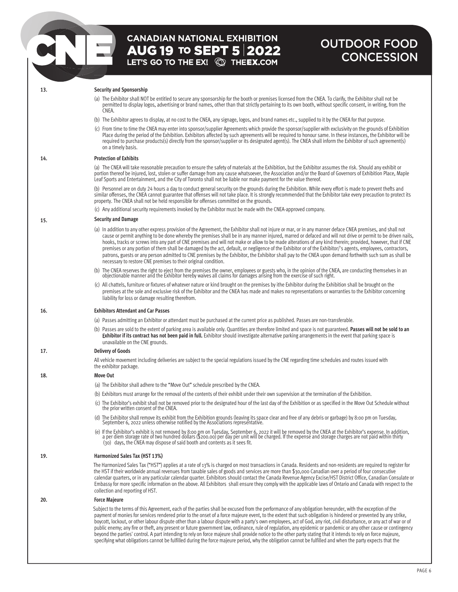# **CANADIAN NATIONAL EXHIBITION**  $\overline{AUG}$  19 to SEPT 5 2022<br>LET'S GO TO THE EX!  $\textcircled{S}$  the EX.COM

## OUTDOOR FOOD **CONCESSION**

**15.** 

## **13. Security and Sponsorship**

- (a) The Exhibitor shall NOT be entitled to secure any sponsorship for the booth or premises licensed from the CNEA. To clarify, the Exhibitor shall not be permitted to display logos, advertising or brand names, other than that strictly pertaining to its own booth, without specific consent, in writing, from the CNEA.
- (b) The Exhibitor agrees to display, at no cost to the CNEA, any signage, logos, and brand names etc., supplied to it by the CNEA for that purpose.
- (c) From time to time the CNEA may enter into sponsor/supplier Agreements which provide the sponsor/supplier with exclusivity on the grounds of Exhibition Place during the period of the Exhibition. Exhibitors affected by such agreements will be required to honour same. In these instances, the Exhibitor will be required to purchase products(s) directly from the sponsor/supplier or its designated agent(s). The CNEA shall inform the Exhibitor of such agreement(s) on a timely basis.

### **14. Protection of Exhibits**

(a) The CNEA will take reasonable precaution to ensure the safety of materials at the Exhibition, but the Exhibitor assumes the risk. Should any exhibit or portion thereof be injured, lost, stolen or suffer damage from any cause whatsoever, the Association and/or the Board of Governors of Exhibition Place, Maple Leaf Sports and Entertainment, and the City of Toronto shall not be liable nor make payment for the value thereof.

(b) Personnel are on duty 24 hours a day to conduct general security on the grounds during the Exhibition. While every effort is made to prevent thefts and similar offenses, the CNEA cannot guarantee that offenses will not take place. It is strongly recommended that the Exhibitor take every precaution to protect its property. The CNEA shall not be held responsible for offenses committed on the grounds.

(c) Any additional security requirements invoked by the Exhibitor must be made with the CNEA-approved company.

## **Security and Damage**

- (a) In addition to any other express provision of the Agreement, the Exhibitor shall not injure or mar, or in any manner deface CNEA premises, and shall not cause or permit anything to be done whereby the premises shall be in any manner injured, marred or defaced and will not drive or permit to be driven nails, hooks, tracks or screws into any part of CNE premises and will not make or allow to be made alterations of any kind therein; provided, however, that if CNE premises or any portion of them shall be damaged by the act, default, or negligence of the Exhibitor or of the Exhibitor/'s agents, employees, contractors, patrons, guests or any person admitted to CNE premises by the Exhibitor, the Exhibitor shall pay to the CNEA upon demand forthwith such sum as shall be necessary to restore CNE premises to their original condition.
- (b) The CNEA reserves the right to eject from the premises the owner, employees or guests who, in the opinion of the CNEA, are conducting themselves in an objectionable manner and the Exhibitor hereby waives all claims for damages arising from the exercise of such right.
- (c) All chattels, furniture or fixtures of whatever nature or kind brought on the premises by ithe Exhibitor during the Exhibition shall be brought on the premises at the sole and exclusive risk of the Exhibitor and the CNEA has made and makes no representations or warranties to the Exhibitor concerning liability for loss or damage resulting therefrom.

### **16. Exhibitors Attendant and Car Passes**

- (a) Passes admitting an Exhibitor or attendant must be purchased at the current price as published. Passes are non-transferable.
- (b) Passes are sold to the extent of parking area is available only. Quantities are therefore limited and space is not guaranteed. **Passes will not be sold to an**  E**xhibitor if its contract has not been paid in full.** Exhibitor should investigate alternative parking arrangements in the event that parking space is unavailable on the CNE grounds.

### **17. Delivery of Goods**

 All vehicle movement including deliveries are subject to the special regulations issued by the CNE regarding time schedules and routes issued with the exhibitor package.

**18. Move Out** (a) The Exhibitor shall adhere to the "Move Out" schedule prescribed by the CNEA. (b) Exhibitors must arrange for the removal of the contents of their exhibit under their own supervision at the termination of the Exhibition. (c) The Exhibitor's exhibit shall not be removed prior to the designated hour of the last day of the Exhibition or as specified in the Move Out Schedule without the prior written consent of the CNEA. (d) The Exhibitor shall remove its exhibit from the Exhibition grounds (leaving its space clear and free of any debris or garbage) by 8:00 pm on Tuesday,<br>September 6, 2022 unless otherwise notified by the Associations repr

(e) If the Exhibitor's exhibit is not removed by 8:00 pm on Tuesday, September 6, 2022 it will be removed by the CNEA at the Exhibitor's expense. In addition,<br>a per diem storage rate of two hundred dollars (\$200.00) per da

#### **19. Harmonized Sales Tax (HST 13%)**

The Harmonized Sales Tax ("HST") applies at a rate of 13% is charged on most transactions in Canada. Residents and non-residents are required to register for the HST if their worldwide annual revenues from taxable sales of goods and services are more than \$30,000 Canadian over a period of four consecutive calendar quarters, or in any particular calendar quarter. Exhibitors should contact the Canada Revenue Agency Excise/HST District Office, Canadian Consulate or Embassy for more specific information on the above. All Exhibitors shall ensure they comply with the applicable laws of Ontario and Canada with respect to the collection and reporting of HST.

#### **20. Force Majeure**

Subject to the terms of this Agreement, each of the parties shall be excused from the performance of any obligation hereunder, with the exception of the payment of monies for services rendered prior to the onset of a force majeure event, to the extent that such obligation is hindered or prevented by any strike, boycott, lockout, or other labour dispute other than a labour dispute with a party's own employees, act of God, any riot, civil disturbance, or any act of war or of public enemy; any fire or theft, any present or future government law, ordinance, rule of regulation, any epidemic or pandemic or any other cause or contingency beyond the parties' control. A part intending to rely on force majeure shall provide notice to the other party stating that it intends to rely on force majeure, specifying what obligations cannot be fulfilled during the force majeure period, why the obligation cannot be fulfilled and when the party expects that the